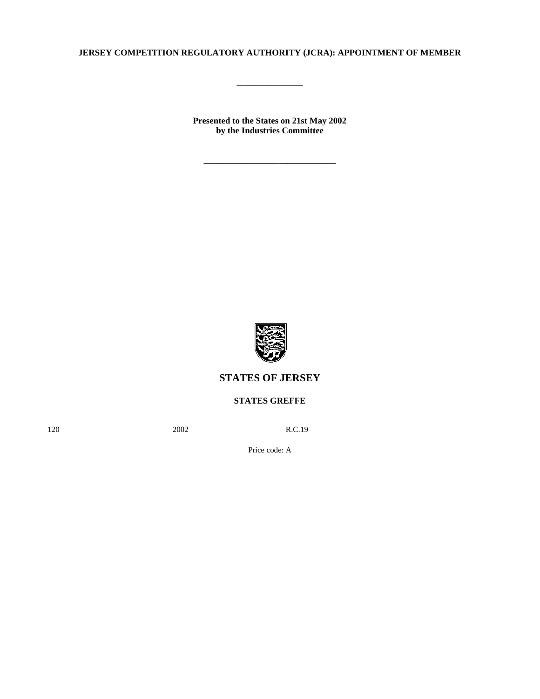## **JERSEY COMPETITION REGULATORY AUTHORITY (JCRA): APPOINTMENT OF MEMBER**

**\_\_\_\_\_\_\_\_\_\_\_\_\_\_\_**

**Presented to the States on 21st May 2002 by the Industries Committee**

**\_\_\_\_\_\_\_\_\_\_\_\_\_\_\_\_\_\_\_\_\_\_\_\_\_\_\_\_\_\_**



## **STATES OF JERSEY**

**STATES GREFFE**

120 **2002** R.C.19

Price code: A